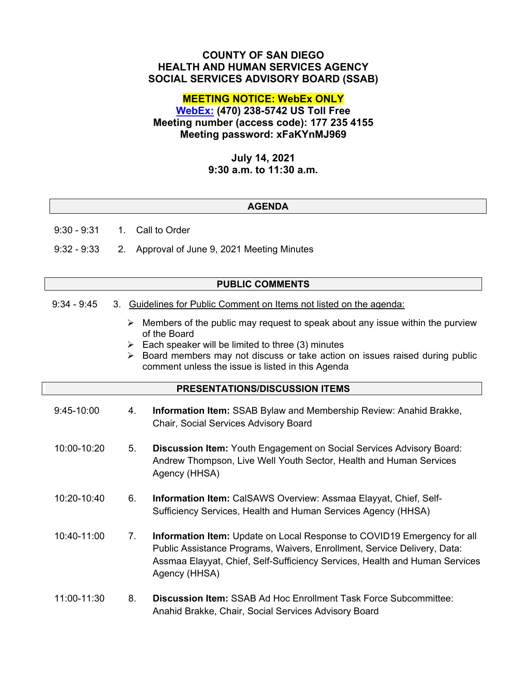## **COUNTY OF SAN DIEGO HEALTH AND HUMAN SERVICES AGENCY SOCIAL SERVICES ADVISORY BOARD (SSAB)**

## **MEETING NOTICE: WebEx ONLY**

# **[WebEx:](https://sdcountyca.webex.com/sdcountyca/j.php?MTID=m3037bb53fc61d2b5f3068ba08a3e02de) (470) 238-5742 US Toll Free Meeting number (access code): 177 235 4155 Meeting password: xFaKYnMJ969**

## **July 14, 2021 9:30 a.m. to 11:30 a.m.**

### **AGENDA**

9:30 - 9:31 1. Call to Order

9:32 - 9:33 2. Approval of June 9, 2021 Meeting Minutes

### **PUBLIC COMMENTS**

- 9:34 9:45 3. Guidelines for Public Comment on Items not listed on the agenda:
	- $\triangleright$  Members of the public may request to speak about any issue within the purview of the Board
	- $\triangleright$  Each speaker will be limited to three (3) minutes
	- $\triangleright$  Board members may not discuss or take action on issues raised during public comment unless the issue is listed in this Agenda

### **PRESENTATIONS/DISCUSSION ITEMS**

| $9:45-10:00$ | 4. | Information Item: SSAB Bylaw and Membership Review: Anahid Brakke,<br><b>Chair, Social Services Advisory Board</b>                                                                                                                                  |
|--------------|----|-----------------------------------------------------------------------------------------------------------------------------------------------------------------------------------------------------------------------------------------------------|
| 10:00-10:20  | 5. | <b>Discussion Item:</b> Youth Engagement on Social Services Advisory Board:<br>Andrew Thompson, Live Well Youth Sector, Health and Human Services<br>Agency (HHSA)                                                                                  |
| 10:20-10:40  | 6. | <b>Information Item: CalSAWS Overview: Assmaa Elayyat, Chief, Self-</b><br>Sufficiency Services, Health and Human Services Agency (HHSA)                                                                                                            |
| 10:40-11:00  | 7. | Information Item: Update on Local Response to COVID19 Emergency for all<br>Public Assistance Programs, Waivers, Enrollment, Service Delivery, Data:<br>Assmaa Elayyat, Chief, Self-Sufficiency Services, Health and Human Services<br>Agency (HHSA) |
| 11:00-11:30  | 8. | <b>Discussion Item:</b> SSAB Ad Hoc Enrollment Task Force Subcommittee:<br>Anahid Brakke, Chair, Social Services Advisory Board                                                                                                                     |